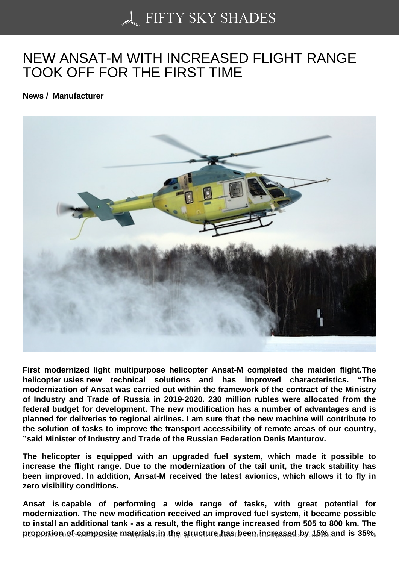## [NEW ANSAT-M WITH](https://50skyshades.com) INCREASED FLIGHT RANGE TOOK OFF FOR THE FIRST TIME

News / Manufacturer

First modernized light multipurpose helicopter Ansat-M completed the maiden flight.The helicopter usies new technical solutions and has improved characteristics. "The modernization of Ansat was carried out within the framework of the contract of the Ministry of Industry and Trade of Russia in 2019-2020. 230 million rubles were allocated from the federal budget for development. The new modification has a number of advantages and is planned for deliveries to regional airlines. I am sure that the new machine will contribute to the solution of tasks to improve the transport accessibility of remote areas of our country, "said Minister of Industry and Trade of the Russian Federation Denis Manturov.

The helicopter is equipped with an upgraded fuel system, which made it possible to increase the flight range. Due to the modernization of the tail unit, the track stability has been improved. In addition, Ansat-M received the latest avionics, which allows it to fly in zero visibility conditions.

Ansat is capable of performing a wide range of tasks, with great potential for modernization. The new modification received an improved fuel system, it became possible to install an additional tank - as a result, the flight range increased from 505 to 800 km. The proportion of composite materials in the structure has been increased by  $15\%$  and  $15\%$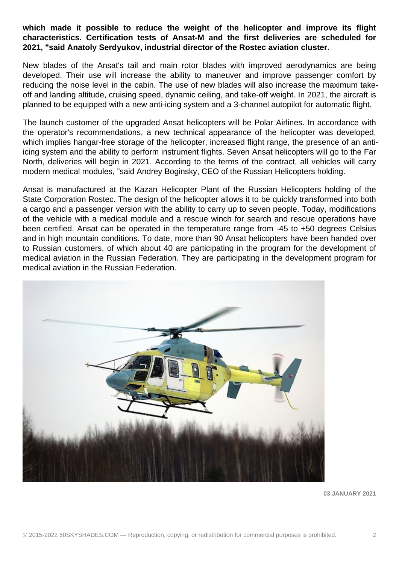**which made it possible to reduce the weight of the helicopter and improve its flight characteristics. Certification tests of Ansat-M and the first deliveries are scheduled for 2021, "said Anatoly Serdyukov, industrial director of the Rostec aviation cluster.** 

New blades of the Ansat's tail and main rotor blades with improved aerodynamics are being developed. Their use will increase the ability to maneuver and improve passenger comfort by reducing the noise level in the cabin. The use of new blades will also increase the maximum takeoff and landing altitude, cruising speed, dynamic ceiling, and take-off weight. In 2021, the aircraft is planned to be equipped with a new anti-icing system and a 3-channel autopilot for automatic flight.

The launch customer of the upgraded Ansat helicopters will be Polar Airlines. In accordance with the operator's recommendations, a new technical appearance of the helicopter was developed, which implies hangar-free storage of the helicopter, increased flight range, the presence of an antiicing system and the ability to perform instrument flights. Seven Ansat helicopters will go to the Far North, deliveries will begin in 2021. According to the terms of the contract, all vehicles will carry modern medical modules, "said Andrey Boginsky, CEO of the Russian Helicopters holding.

Ansat is manufactured at the Kazan Helicopter Plant of the Russian Helicopters holding of the State Corporation Rostec. The design of the helicopter allows it to be quickly transformed into both a cargo and a passenger version with the ability to carry up to seven people. Today, modifications of the vehicle with a medical module and a rescue winch for search and rescue operations have been certified. Ansat can be operated in the temperature range from -45 to +50 degrees Celsius and in high mountain conditions. To date, more than 90 Ansat helicopters have been handed over to Russian customers, of which about 40 are participating in the program for the development of medical aviation in the Russian Federation. They are participating in the development program for medical aviation in the Russian Federation.



**03 JANUARY 2021**